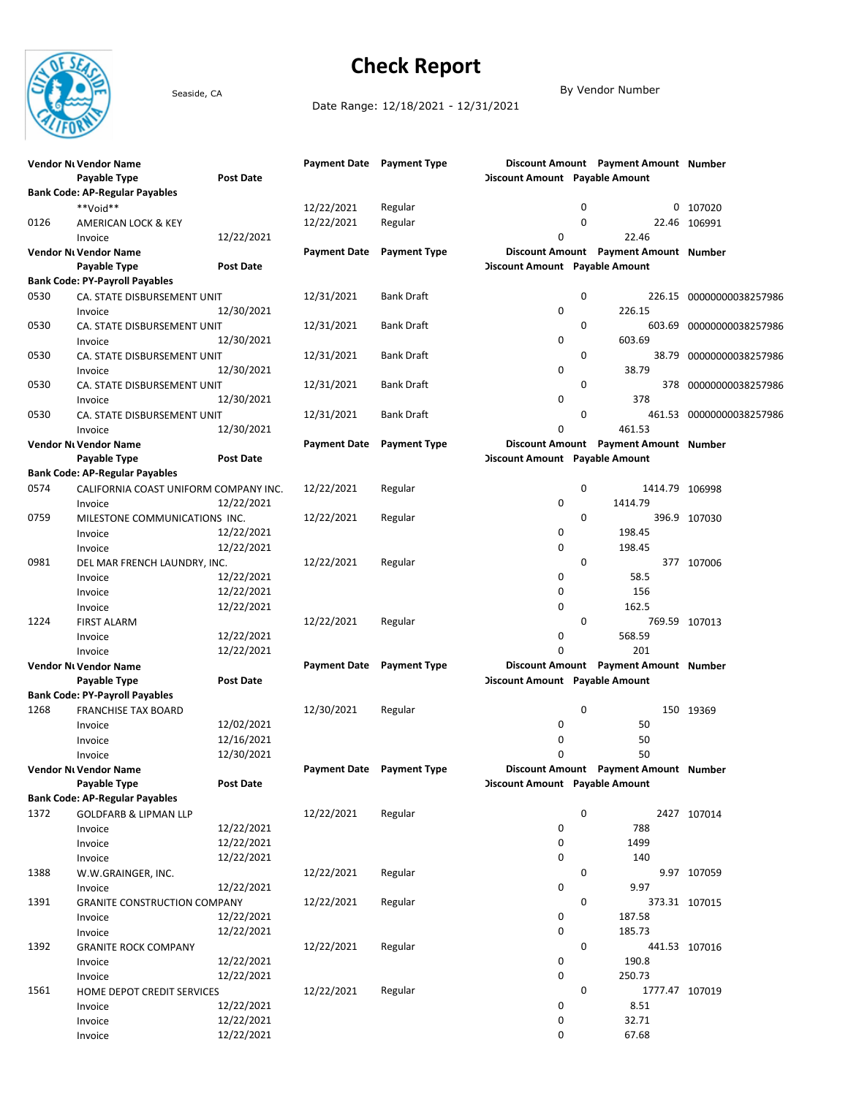

## Check Report

Seaside, CA By Vendor Number

Date Range: 12/18/2021 - 12/31/2021

|      | Vendor Ni Vendor Name<br>Payable Type | <b>Post Date</b> |                     | Payment Date Payment Type        | <b>Discount Amount</b> Payable Amount |   | Discount Amount Payment Amount Number |                          |
|------|---------------------------------------|------------------|---------------------|----------------------------------|---------------------------------------|---|---------------------------------------|--------------------------|
|      | <b>Bank Code: AP-Regular Payables</b> |                  |                     |                                  |                                       |   |                                       |                          |
|      | **Void**                              |                  | 12/22/2021          | Regular                          |                                       | 0 |                                       | 0 107020                 |
| 0126 | AMERICAN LOCK & KEY                   |                  | 12/22/2021          | Regular                          |                                       | 0 |                                       | 22.46 106991             |
|      | Invoice                               | 12/22/2021       |                     |                                  | 0                                     |   | 22.46                                 |                          |
|      | Vendor Ni Vendor Name                 |                  | <b>Payment Date</b> | <b>Payment Type</b>              |                                       |   | Discount Amount Payment Amount Number |                          |
|      | Payable Type                          | Post Date        |                     |                                  | Discount Amount Payable Amount        |   |                                       |                          |
|      | <b>Bank Code: PY-Payroll Payables</b> |                  |                     |                                  |                                       |   |                                       |                          |
| 0530 | CA. STATE DISBURSEMENT UNIT           |                  | 12/31/2021          | Bank Draft                       |                                       | 0 |                                       | 226.15 00000000038257986 |
|      | Invoice                               | 12/30/2021       |                     |                                  | 0                                     |   | 226.15                                |                          |
| 0530 | CA. STATE DISBURSEMENT UNIT           |                  | 12/31/2021          | <b>Bank Draft</b>                |                                       | 0 |                                       | 603.69 00000000038257986 |
|      | Invoice                               | 12/30/2021       |                     |                                  | 0                                     |   | 603.69                                |                          |
| 0530 | CA. STATE DISBURSEMENT UNIT           |                  | 12/31/2021          | Bank Draft                       |                                       | 0 |                                       | 38.79 00000000038257986  |
|      | Invoice                               | 12/30/2021       |                     |                                  | 0                                     |   | 38.79                                 |                          |
| 0530 | CA. STATE DISBURSEMENT UNIT           |                  | 12/31/2021          | Bank Draft                       |                                       | 0 |                                       | 378 00000000038257986    |
|      | Invoice                               | 12/30/2021       |                     |                                  | 0                                     |   | 378                                   |                          |
| 0530 | CA. STATE DISBURSEMENT UNIT           |                  | 12/31/2021          | Bank Draft                       |                                       | 0 |                                       | 461.53 00000000038257986 |
|      | Invoice                               | 12/30/2021       |                     |                                  | 0                                     |   | 461.53                                |                          |
|      | Vendor Ni Vendor Name                 |                  | <b>Payment Date</b> | <b>Payment Type</b>              |                                       |   | Discount Amount Payment Amount Number |                          |
|      | Payable Type                          | Post Date        |                     |                                  | <b>Discount Amount</b> Payable Amount |   |                                       |                          |
|      | <b>Bank Code: AP-Regular Payables</b> |                  |                     |                                  |                                       |   |                                       |                          |
| 0574 | CALIFORNIA COAST UNIFORM COMPANY INC. |                  | 12/22/2021          | Regular                          |                                       | 0 | 1414.79 106998                        |                          |
|      | Invoice                               | 12/22/2021       |                     |                                  | 0                                     |   | 1414.79                               |                          |
| 0759 | MILESTONE COMMUNICATIONS INC.         |                  | 12/22/2021          | Regular                          |                                       | 0 |                                       | 396.9 107030             |
|      | Invoice                               | 12/22/2021       |                     |                                  | 0                                     |   | 198.45                                |                          |
|      | Invoice                               | 12/22/2021       |                     |                                  | 0                                     |   | 198.45                                |                          |
| 0981 | DEL MAR FRENCH LAUNDRY, INC.          |                  | 12/22/2021          | Regular                          |                                       | 0 |                                       | 377 107006               |
|      | Invoice                               | 12/22/2021       |                     |                                  | 0                                     |   | 58.5                                  |                          |
|      | Invoice                               | 12/22/2021       |                     |                                  | 0                                     |   | 156                                   |                          |
|      | Invoice                               | 12/22/2021       |                     |                                  | 0                                     |   | 162.5                                 |                          |
| 1224 | <b>FIRST ALARM</b>                    |                  | 12/22/2021          | Regular                          |                                       | 0 |                                       | 769.59 107013            |
|      | Invoice                               | 12/22/2021       |                     |                                  | 0                                     |   | 568.59                                |                          |
|      | Invoice                               | 12/22/2021       |                     |                                  | $\Omega$                              |   | 201                                   |                          |
|      | Vendor Ni Vendor Name                 |                  | <b>Payment Date</b> | <b>Payment Type</b>              |                                       |   | Discount Amount Payment Amount Number |                          |
|      | Payable Type                          | Post Date        |                     |                                  | <b>Discount Amount</b> Payable Amount |   |                                       |                          |
|      | <b>Bank Code: PY-Payroll Payables</b> |                  |                     |                                  |                                       |   |                                       |                          |
| 1268 | <b>FRANCHISE TAX BOARD</b>            |                  | 12/30/2021          | Regular                          |                                       | 0 |                                       | 150 19369                |
|      | Invoice                               | 12/02/2021       |                     |                                  | 0                                     |   | 50                                    |                          |
|      | Invoice                               | 12/16/2021       |                     |                                  | 0                                     |   | 50                                    |                          |
|      | Invoice                               | 12/30/2021       |                     |                                  | $\Omega$                              |   | 50                                    |                          |
|      | Vendor Ni Vendor Name                 |                  |                     | <b>Payment Date</b> Payment Type |                                       |   | Discount Amount Payment Amount Number |                          |
|      | Payable Type                          | <b>Post Date</b> |                     |                                  | <b>Discount Amount Payable Amount</b> |   |                                       |                          |
|      | <b>Bank Code: AP-Regular Payables</b> |                  |                     |                                  |                                       |   |                                       |                          |
| 1372 | <b>GOLDFARB &amp; LIPMAN LLP</b>      |                  | 12/22/2021          | Regular                          |                                       | 0 |                                       | 2427 107014              |
|      | Invoice                               | 12/22/2021       |                     |                                  | 0                                     |   | 788                                   |                          |
|      | Invoice                               | 12/22/2021       |                     |                                  | 0                                     |   | 1499                                  |                          |
|      | Invoice                               | 12/22/2021       |                     |                                  | 0                                     |   | 140                                   |                          |
| 1388 | W.W.GRAINGER, INC.                    |                  | 12/22/2021          | Regular                          |                                       | 0 |                                       | 9.97 107059              |
|      | Invoice                               | 12/22/2021       |                     |                                  | 0                                     |   | 9.97                                  |                          |
| 1391 | <b>GRANITE CONSTRUCTION COMPANY</b>   |                  | 12/22/2021          | Regular                          |                                       | 0 |                                       | 373.31 107015            |
|      | Invoice                               | 12/22/2021       |                     |                                  | 0                                     |   | 187.58                                |                          |
|      | Invoice                               | 12/22/2021       |                     |                                  | 0                                     |   | 185.73                                |                          |
| 1392 | <b>GRANITE ROCK COMPANY</b>           |                  | 12/22/2021          | Regular                          |                                       | 0 |                                       | 441.53 107016            |
|      | Invoice                               | 12/22/2021       |                     |                                  | 0                                     |   | 190.8                                 |                          |
|      | Invoice                               | 12/22/2021       |                     |                                  | 0                                     |   | 250.73                                |                          |
| 1561 | HOME DEPOT CREDIT SERVICES            |                  | 12/22/2021          | Regular                          |                                       | 0 | 1777.47 107019                        |                          |
|      | Invoice                               | 12/22/2021       |                     |                                  | 0                                     |   | 8.51                                  |                          |
|      | Invoice                               | 12/22/2021       |                     |                                  | 0                                     |   | 32.71                                 |                          |
|      | Invoice                               | 12/22/2021       |                     |                                  | 0                                     |   | 67.68                                 |                          |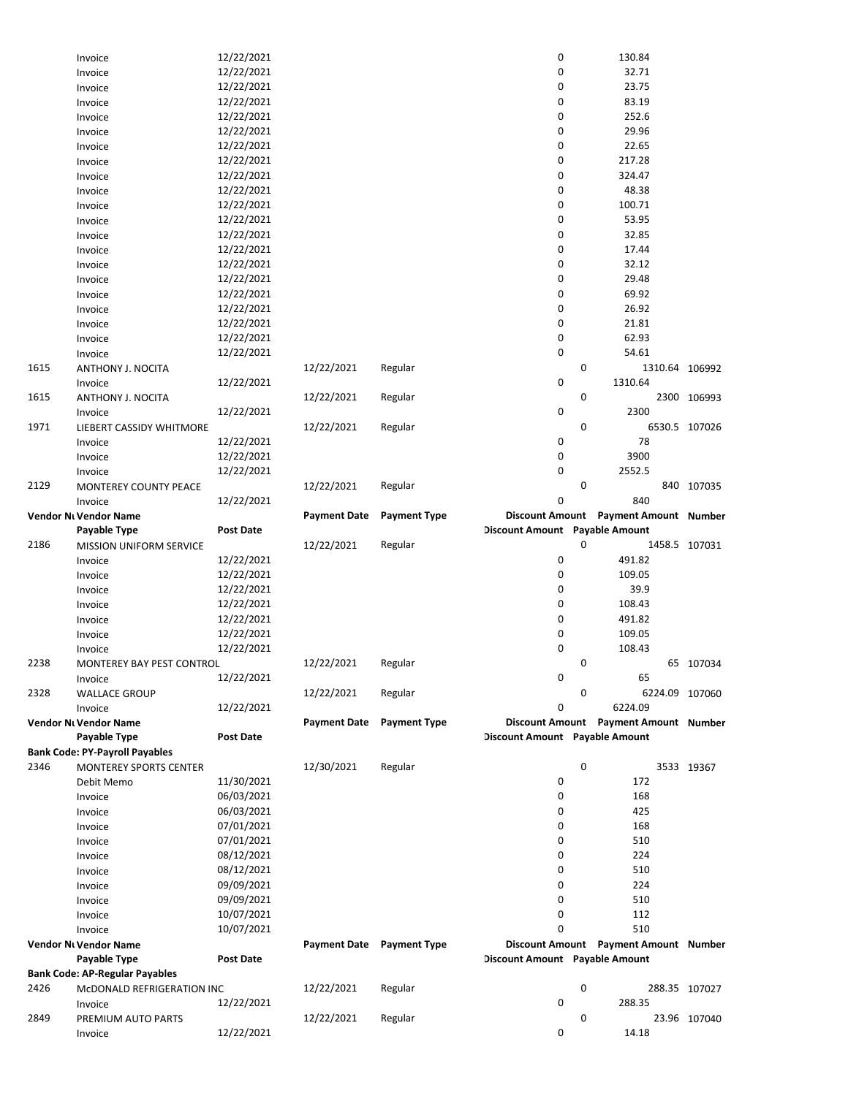|      | Invoice                               | 12/22/2021       |                                  |                     | 0                              |   | 130.84                                |               |
|------|---------------------------------------|------------------|----------------------------------|---------------------|--------------------------------|---|---------------------------------------|---------------|
|      | Invoice                               | 12/22/2021       |                                  |                     | 0                              |   | 32.71                                 |               |
|      | Invoice                               | 12/22/2021       |                                  |                     | 0                              |   | 23.75                                 |               |
|      | Invoice                               | 12/22/2021       |                                  |                     | 0                              |   | 83.19                                 |               |
|      | Invoice                               | 12/22/2021       |                                  |                     | 0                              |   | 252.6                                 |               |
|      | Invoice                               | 12/22/2021       |                                  |                     | 0                              |   | 29.96                                 |               |
|      | Invoice                               | 12/22/2021       |                                  |                     | 0                              |   | 22.65                                 |               |
|      | Invoice                               | 12/22/2021       |                                  |                     | 0                              |   | 217.28                                |               |
|      |                                       | 12/22/2021       |                                  |                     | 0                              |   | 324.47                                |               |
|      | Invoice                               |                  |                                  |                     |                                |   |                                       |               |
|      | Invoice                               | 12/22/2021       |                                  |                     | 0                              |   | 48.38                                 |               |
|      | Invoice                               | 12/22/2021       |                                  |                     | 0                              |   | 100.71                                |               |
|      | Invoice                               | 12/22/2021       |                                  |                     | 0                              |   | 53.95                                 |               |
|      | Invoice                               | 12/22/2021       |                                  |                     | 0                              |   | 32.85                                 |               |
|      | Invoice                               | 12/22/2021       |                                  |                     | 0                              |   | 17.44                                 |               |
|      | Invoice                               | 12/22/2021       |                                  |                     | 0                              |   | 32.12                                 |               |
|      | Invoice                               | 12/22/2021       |                                  |                     | 0                              |   | 29.48                                 |               |
|      | Invoice                               | 12/22/2021       |                                  |                     | 0                              |   | 69.92                                 |               |
|      | Invoice                               | 12/22/2021       |                                  |                     | 0                              |   | 26.92                                 |               |
|      | Invoice                               | 12/22/2021       |                                  |                     | 0                              |   | 21.81                                 |               |
|      | Invoice                               | 12/22/2021       |                                  |                     | 0                              |   | 62.93                                 |               |
|      | Invoice                               | 12/22/2021       |                                  |                     | 0                              |   | 54.61                                 |               |
| 1615 | ANTHONY J. NOCITA                     |                  | 12/22/2021                       | Regular             |                                | 0 | 1310.64 106992                        |               |
|      |                                       | 12/22/2021       |                                  |                     | 0                              |   | 1310.64                               |               |
|      | Invoice                               |                  |                                  |                     |                                |   |                                       |               |
| 1615 | ANTHONY J. NOCITA                     |                  | 12/22/2021                       | Regular             |                                | 0 |                                       | 2300 106993   |
|      | Invoice                               | 12/22/2021       |                                  |                     | 0                              |   | 2300                                  |               |
| 1971 | LIEBERT CASSIDY WHITMORE              |                  | 12/22/2021                       | Regular             |                                | 0 |                                       | 6530.5 107026 |
|      | Invoice                               | 12/22/2021       |                                  |                     | 0                              |   | 78                                    |               |
|      | Invoice                               | 12/22/2021       |                                  |                     | 0                              |   | 3900                                  |               |
|      | Invoice                               | 12/22/2021       |                                  |                     | 0                              |   | 2552.5                                |               |
| 2129 | MONTEREY COUNTY PEACE                 |                  | 12/22/2021                       | Regular             |                                | 0 |                                       | 840 107035    |
|      | Invoice                               | 12/22/2021       |                                  |                     | 0                              |   | 840                                   |               |
|      | Vendor Ni Vendor Name                 |                  | <b>Payment Date</b>              | <b>Payment Type</b> |                                |   | Discount Amount Payment Amount Number |               |
|      | Payable Type                          | <b>Post Date</b> |                                  |                     | Discount Amount Payable Amount |   |                                       |               |
| 2186 | MISSION UNIFORM SERVICE               |                  | 12/22/2021                       | Regular             |                                | 0 |                                       | 1458.5 107031 |
|      | Invoice                               | 12/22/2021       |                                  |                     | 0                              |   | 491.82                                |               |
|      |                                       | 12/22/2021       |                                  |                     | 0                              |   | 109.05                                |               |
|      | Invoice                               |                  |                                  |                     |                                |   |                                       |               |
|      | Invoice                               | 12/22/2021       |                                  |                     | 0                              |   | 39.9                                  |               |
|      |                                       |                  |                                  |                     |                                |   |                                       |               |
|      | Invoice                               | 12/22/2021       |                                  |                     | 0                              |   | 108.43                                |               |
|      | Invoice                               | 12/22/2021       |                                  |                     | 0                              |   | 491.82                                |               |
|      | Invoice                               | 12/22/2021       |                                  |                     | 0                              |   | 109.05                                |               |
|      | Invoice                               | 12/22/2021       |                                  |                     | $\mathbf 0$                    |   | 108.43                                |               |
| 2238 | MONTEREY BAY PEST CONTROL             |                  | 12/22/2021                       | Regular             |                                | 0 |                                       | 65 107034     |
|      | Invoice                               | 12/22/2021       |                                  |                     | 0                              |   | 65                                    |               |
| 2328 | <b>WALLACE GROUP</b>                  |                  | 12/22/2021                       | Regular             |                                | 0 | 6224.09 107060                        |               |
|      | Invoice                               |                  |                                  |                     | 0                              |   | 6224.09                               |               |
|      |                                       | 12/22/2021       | <b>Payment Date</b>              |                     |                                |   |                                       |               |
|      | <b>Vendor Nt Vendor Name</b>          |                  |                                  | <b>Payment Type</b> |                                |   | Discount Amount Payment Amount Number |               |
|      | Payable Type                          | <b>Post Date</b> |                                  |                     | Discount Amount Payable Amount |   |                                       |               |
|      | <b>Bank Code: PY-Payroll Payables</b> |                  |                                  |                     |                                |   |                                       |               |
| 2346 | <b>MONTEREY SPORTS CENTER</b>         |                  | 12/30/2021                       | Regular             |                                | 0 |                                       | 3533 19367    |
|      | Debit Memo                            | 11/30/2021       |                                  |                     | 0                              |   | 172                                   |               |
|      | Invoice                               | 06/03/2021       |                                  |                     | 0                              |   | 168                                   |               |
|      | Invoice                               | 06/03/2021       |                                  |                     | 0                              |   | 425                                   |               |
|      | Invoice                               | 07/01/2021       |                                  |                     | 0                              |   | 168                                   |               |
|      | Invoice                               | 07/01/2021       |                                  |                     | 0                              |   | 510                                   |               |
|      | Invoice                               | 08/12/2021       |                                  |                     | 0                              |   | 224                                   |               |
|      | Invoice                               | 08/12/2021       |                                  |                     | 0                              |   | 510                                   |               |
|      | Invoice                               | 09/09/2021       |                                  |                     | 0                              |   | 224                                   |               |
|      | Invoice                               | 09/09/2021       |                                  |                     | 0                              |   | 510                                   |               |
|      |                                       |                  |                                  |                     |                                |   |                                       |               |
|      | Invoice                               | 10/07/2021       |                                  |                     | 0                              |   | 112                                   |               |
|      | Invoice                               | 10/07/2021       |                                  |                     | 0                              |   | 510                                   |               |
|      | Vendor Ni Vendor Name                 |                  | <b>Payment Date</b> Payment Type |                     |                                |   | Discount Amount Payment Amount Number |               |
|      | Payable Type                          | <b>Post Date</b> |                                  |                     | Discount Amount Payable Amount |   |                                       |               |
|      | Bank Code: AP-Regular Payables        |                  |                                  |                     |                                |   |                                       |               |
| 2426 | MCDONALD REFRIGERATION INC            |                  | 12/22/2021                       | Regular             |                                | 0 |                                       | 288.35 107027 |
|      | Invoice                               | 12/22/2021       |                                  |                     | 0                              |   | 288.35                                |               |
| 2849 | PREMIUM AUTO PARTS<br>Invoice         | 12/22/2021       | 12/22/2021                       | Regular             | 0                              | 0 | 14.18                                 | 23.96 107040  |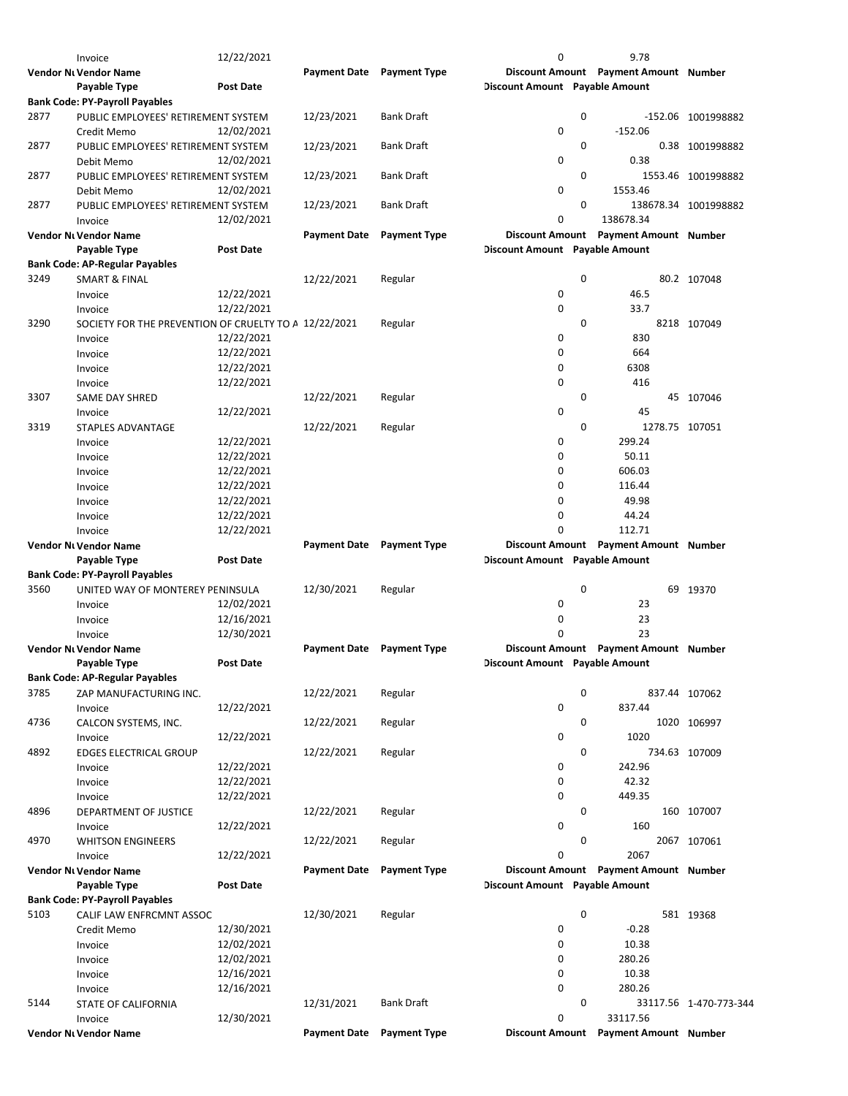|      | Invoice                                               | 12/22/2021       |                                  |                     | 0                              |   | 9.78                                  |                        |
|------|-------------------------------------------------------|------------------|----------------------------------|---------------------|--------------------------------|---|---------------------------------------|------------------------|
|      | Vendor Nı Vendor Name                                 |                  | <b>Payment Date</b>              | <b>Payment Type</b> |                                |   | Discount Amount Payment Amount Number |                        |
|      | Payable Type                                          | <b>Post Date</b> |                                  |                     | Discount Amount Payable Amount |   |                                       |                        |
|      | <b>Bank Code: PY-Payroll Payables</b>                 |                  |                                  |                     |                                |   |                                       |                        |
| 2877 | PUBLIC EMPLOYEES' RETIREMENT SYSTEM                   |                  | 12/23/2021                       | <b>Bank Draft</b>   |                                | 0 |                                       | -152.06 1001998882     |
|      | Credit Memo                                           | 12/02/2021       |                                  |                     | $\mathbf 0$                    |   | $-152.06$                             |                        |
| 2877 | PUBLIC EMPLOYEES' RETIREMENT SYSTEM                   |                  | 12/23/2021                       | Bank Draft          |                                | 0 |                                       | 0.38 1001998882        |
|      |                                                       |                  |                                  |                     |                                |   |                                       |                        |
|      | Debit Memo                                            | 12/02/2021       |                                  |                     | 0                              |   | 0.38                                  |                        |
| 2877 | PUBLIC EMPLOYEES' RETIREMENT SYSTEM                   |                  | 12/23/2021                       | Bank Draft          |                                | 0 |                                       | 1553.46 1001998882     |
|      | Debit Memo                                            | 12/02/2021       |                                  |                     | 0                              |   | 1553.46                               |                        |
| 2877 | PUBLIC EMPLOYEES' RETIREMENT SYSTEM                   |                  | 12/23/2021                       | <b>Bank Draft</b>   |                                | 0 |                                       | 138678.34 1001998882   |
|      | Invoice                                               | 12/02/2021       |                                  |                     | 0                              |   | 138678.34                             |                        |
|      | Vendor Nı Vendor Name                                 |                  | <b>Payment Date</b>              | <b>Payment Type</b> |                                |   | Discount Amount Payment Amount Number |                        |
|      | Payable Type                                          | <b>Post Date</b> |                                  |                     | Discount Amount Payable Amount |   |                                       |                        |
|      | <b>Bank Code: AP-Regular Payables</b>                 |                  |                                  |                     |                                |   |                                       |                        |
| 3249 | <b>SMART &amp; FINAL</b>                              |                  | 12/22/2021                       | Regular             |                                | 0 |                                       | 80.2 107048            |
|      | Invoice                                               | 12/22/2021       |                                  |                     | 0                              |   | 46.5                                  |                        |
|      | Invoice                                               | 12/22/2021       |                                  |                     | 0                              |   | 33.7                                  |                        |
|      |                                                       |                  |                                  |                     |                                |   |                                       |                        |
| 3290 | SOCIETY FOR THE PREVENTION OF CRUELTY TO A 12/22/2021 |                  |                                  | Regular             |                                | 0 |                                       | 8218 107049            |
|      | Invoice                                               | 12/22/2021       |                                  |                     | 0                              |   | 830                                   |                        |
|      | Invoice                                               | 12/22/2021       |                                  |                     | 0                              |   | 664                                   |                        |
|      | Invoice                                               | 12/22/2021       |                                  |                     | 0                              |   | 6308                                  |                        |
|      | Invoice                                               | 12/22/2021       |                                  |                     | $\mathbf 0$                    |   | 416                                   |                        |
| 3307 | <b>SAME DAY SHRED</b>                                 |                  | 12/22/2021                       | Regular             |                                | 0 |                                       | 45 107046              |
|      | Invoice                                               | 12/22/2021       |                                  |                     | 0                              |   | 45                                    |                        |
| 3319 | STAPLES ADVANTAGE                                     |                  | 12/22/2021                       | Regular             |                                | 0 | 1278.75 107051                        |                        |
|      |                                                       | 12/22/2021       |                                  |                     | 0                              |   | 299.24                                |                        |
|      | Invoice                                               |                  |                                  |                     |                                |   |                                       |                        |
|      | Invoice                                               | 12/22/2021       |                                  |                     | 0                              |   | 50.11                                 |                        |
|      | Invoice                                               | 12/22/2021       |                                  |                     | 0                              |   | 606.03                                |                        |
|      | Invoice                                               | 12/22/2021       |                                  |                     | 0                              |   | 116.44                                |                        |
|      | Invoice                                               | 12/22/2021       |                                  |                     | 0                              |   | 49.98                                 |                        |
|      | Invoice                                               | 12/22/2021       |                                  |                     | 0                              |   | 44.24                                 |                        |
|      | Invoice                                               | 12/22/2021       |                                  |                     | O                              |   | 112.71                                |                        |
|      | <b>Vendor Ni Vendor Name</b>                          |                  | <b>Payment Date</b> Payment Type |                     |                                |   | Discount Amount Payment Amount Number |                        |
|      | Payable Type                                          | <b>Post Date</b> |                                  |                     | Discount Amount Payable Amount |   |                                       |                        |
|      | <b>Bank Code: PY-Payroll Payables</b>                 |                  |                                  |                     |                                |   |                                       |                        |
| 3560 | UNITED WAY OF MONTEREY PENINSULA                      |                  | 12/30/2021                       | Regular             |                                | 0 |                                       | 69 19370               |
|      |                                                       |                  |                                  |                     |                                |   |                                       |                        |
|      | Invoice                                               | 12/02/2021       |                                  |                     | 0                              |   | 23                                    |                        |
|      | Invoice                                               | 12/16/2021       |                                  |                     | 0                              |   | 23                                    |                        |
|      | Invoice                                               | 12/30/2021       |                                  |                     | $\Omega$                       |   | 23                                    |                        |
|      | Vendor Ni Vendor Name                                 |                  | <b>Payment Date</b> Payment Type |                     |                                |   | Discount Amount Payment Amount Number |                        |
|      | Payable Type                                          | <b>Post Date</b> |                                  |                     | Discount Amount Payable Amount |   |                                       |                        |
|      | <b>Bank Code: AP-Regular Payables</b>                 |                  |                                  |                     |                                |   |                                       |                        |
| 3785 | ZAP MANUFACTURING INC.                                |                  | 12/22/2021                       | Regular             |                                | 0 | 837.44 107062                         |                        |
|      | Invoice                                               | 12/22/2021       |                                  |                     | 0                              |   | 837.44                                |                        |
| 4736 | CALCON SYSTEMS, INC.                                  |                  | 12/22/2021                       | Regular             |                                | 0 |                                       | 1020 106997            |
|      |                                                       |                  |                                  |                     | 0                              |   | 1020                                  |                        |
|      | Invoice                                               | 12/22/2021       |                                  |                     |                                |   |                                       |                        |
| 4892 | EDGES ELECTRICAL GROUP                                |                  | 12/22/2021                       | Regular             |                                | 0 |                                       | 734.63 107009          |
|      | Invoice                                               | 12/22/2021       |                                  |                     | 0                              |   | 242.96                                |                        |
|      | Invoice                                               | 12/22/2021       |                                  |                     | 0                              |   | 42.32                                 |                        |
|      | Invoice                                               | 12/22/2021       |                                  |                     | 0                              |   | 449.35                                |                        |
| 4896 | DEPARTMENT OF JUSTICE                                 |                  | 12/22/2021                       | Regular             |                                | 0 |                                       | 160 107007             |
|      | Invoice                                               | 12/22/2021       |                                  |                     | 0                              |   | 160                                   |                        |
| 4970 | <b>WHITSON ENGINEERS</b>                              |                  | 12/22/2021                       | Regular             |                                | 0 |                                       | 2067 107061            |
|      | Invoice                                               | 12/22/2021       |                                  |                     | 0                              |   | 2067                                  |                        |
|      | Vendor Ni Vendor Name                                 |                  | <b>Payment Date</b>              | <b>Payment Type</b> |                                |   | Discount Amount Payment Amount Number |                        |
|      |                                                       |                  |                                  |                     |                                |   |                                       |                        |
|      | Payable Type                                          | <b>Post Date</b> |                                  |                     | Discount Amount Payable Amount |   |                                       |                        |
|      | <b>Bank Code: PY-Payroll Payables</b>                 |                  |                                  |                     |                                |   |                                       |                        |
| 5103 | CALIF LAW ENFRCMNT ASSOC                              |                  | 12/30/2021                       | Regular             |                                | 0 |                                       | 581 19368              |
|      | Credit Memo                                           | 12/30/2021       |                                  |                     | 0                              |   | $-0.28$                               |                        |
|      | Invoice                                               | 12/02/2021       |                                  |                     | 0                              |   | 10.38                                 |                        |
|      | Invoice                                               | 12/02/2021       |                                  |                     | 0                              |   | 280.26                                |                        |
|      | Invoice                                               | 12/16/2021       |                                  |                     | 0                              |   | 10.38                                 |                        |
|      | Invoice                                               | 12/16/2021       |                                  |                     | $\mathbf 0$                    |   | 280.26                                |                        |
| 5144 | STATE OF CALIFORNIA                                   |                  | 12/31/2021                       | Bank Draft          |                                | 0 |                                       | 33117.56 1-470-773-344 |
|      | Invoice                                               | 12/30/2021       |                                  |                     | 0                              |   | 33117.56                              |                        |
|      |                                                       |                  |                                  |                     |                                |   | Discount Amount Payment Amount Number |                        |
|      | Vendor Nı Vendor Name                                 |                  | <b>Payment Date</b>              | <b>Payment Type</b> |                                |   |                                       |                        |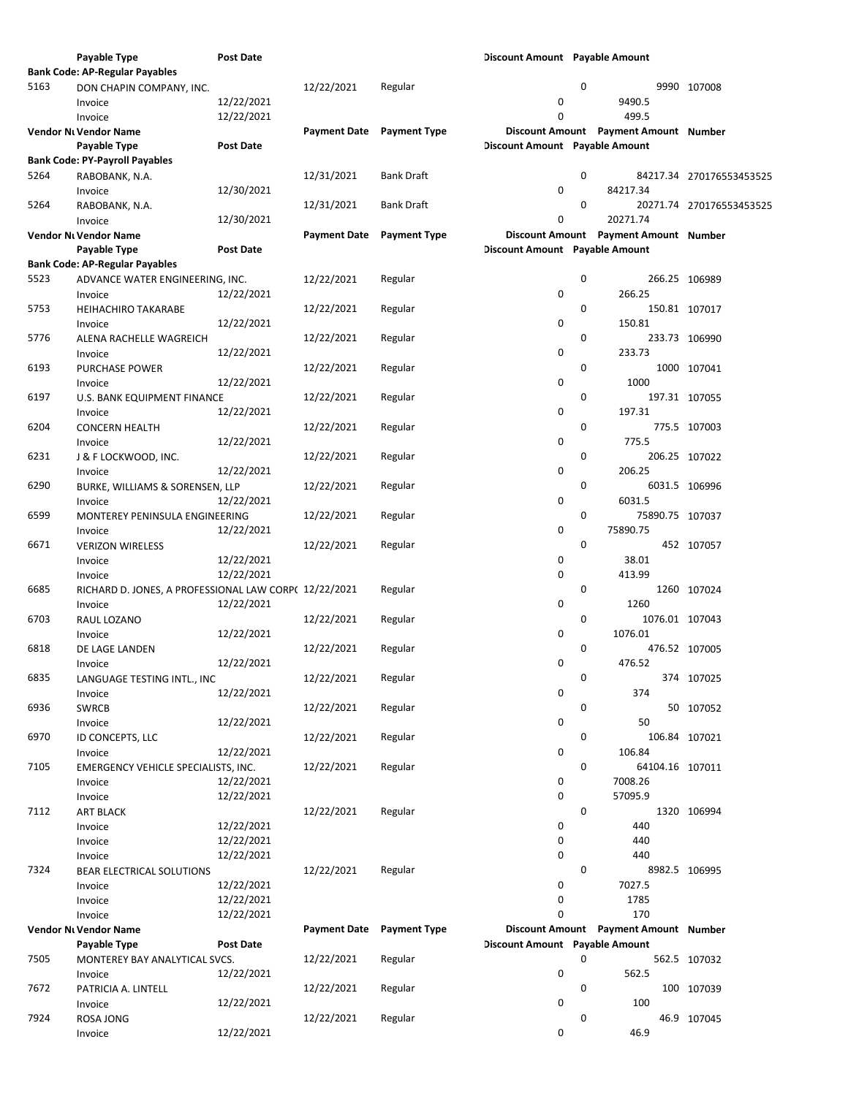|      | Payable Type                                          | <b>Post Date</b> |                           |                     | Discount Amount Payable Amount |             |                                       |                          |
|------|-------------------------------------------------------|------------------|---------------------------|---------------------|--------------------------------|-------------|---------------------------------------|--------------------------|
|      | <b>Bank Code: AP-Regular Payables</b>                 |                  |                           |                     |                                |             |                                       |                          |
| 5163 | DON CHAPIN COMPANY, INC.                              |                  | 12/22/2021                | Regular             |                                | 0           |                                       | 9990 107008              |
|      | Invoice                                               | 12/22/2021       |                           |                     | 0                              |             | 9490.5                                |                          |
|      | Invoice                                               | 12/22/2021       |                           |                     | $\Omega$                       |             | 499.5                                 |                          |
|      | Vendor Ni Vendor Name                                 |                  | Payment Date Payment Type |                     |                                |             | Discount Amount Payment Amount Number |                          |
|      | Payable Type                                          | <b>Post Date</b> |                           |                     | Discount Amount Payable Amount |             |                                       |                          |
|      |                                                       |                  |                           |                     |                                |             |                                       |                          |
|      | <b>Bank Code: PY-Payroll Payables</b>                 |                  |                           |                     |                                |             |                                       |                          |
| 5264 | RABOBANK, N.A.                                        |                  | 12/31/2021                | <b>Bank Draft</b>   |                                | 0           |                                       | 84217.34 270176553453525 |
|      | Invoice                                               | 12/30/2021       |                           |                     | 0                              |             | 84217.34                              |                          |
| 5264 | RABOBANK, N.A.                                        |                  | 12/31/2021                | <b>Bank Draft</b>   |                                | 0           |                                       | 20271.74 270176553453525 |
|      | Invoice                                               | 12/30/2021       |                           |                     | 0                              |             | 20271.74                              |                          |
|      | Vendor Nt Vendor Name                                 |                  | <b>Payment Date</b>       | <b>Payment Type</b> |                                |             | Discount Amount Payment Amount Number |                          |
|      | Payable Type                                          | <b>Post Date</b> |                           |                     | Discount Amount Payable Amount |             |                                       |                          |
|      | <b>Bank Code: AP-Regular Payables</b>                 |                  |                           |                     |                                |             |                                       |                          |
| 5523 | ADVANCE WATER ENGINEERING, INC.                       |                  | 12/22/2021                | Regular             |                                | 0           |                                       | 266.25 106989            |
|      | Invoice                                               | 12/22/2021       |                           |                     | 0                              |             | 266.25                                |                          |
| 5753 | <b>HEIHACHIRO TAKARABE</b>                            |                  | 12/22/2021                | Regular             |                                | 0           |                                       | 150.81 107017            |
|      | Invoice                                               |                  |                           |                     | 0                              |             | 150.81                                |                          |
|      |                                                       | 12/22/2021       |                           |                     |                                |             |                                       |                          |
| 5776 | ALENA RACHELLE WAGREICH                               |                  | 12/22/2021                | Regular             |                                | 0           |                                       | 233.73 106990            |
|      | Invoice                                               | 12/22/2021       |                           |                     | 0                              |             | 233.73                                |                          |
| 6193 | PURCHASE POWER                                        |                  | 12/22/2021                | Regular             |                                | 0           |                                       | 1000 107041              |
|      | Invoice                                               | 12/22/2021       |                           |                     | 0                              |             | 1000                                  |                          |
| 6197 | U.S. BANK EQUIPMENT FINANCE                           |                  | 12/22/2021                | Regular             |                                | 0           |                                       | 197.31 107055            |
|      | Invoice                                               | 12/22/2021       |                           |                     | $\pmb{0}$                      |             | 197.31                                |                          |
| 6204 | <b>CONCERN HEALTH</b>                                 |                  | 12/22/2021                | Regular             |                                | 0           |                                       | 775.5 107003             |
|      | Invoice                                               | 12/22/2021       |                           |                     | 0                              |             | 775.5                                 |                          |
| 6231 | J & F LOCKWOOD, INC.                                  |                  | 12/22/2021                | Regular             |                                | 0           |                                       | 206.25 107022            |
|      | Invoice                                               | 12/22/2021       |                           |                     | 0                              |             | 206.25                                |                          |
| 6290 | BURKE, WILLIAMS & SORENSEN, LLP                       |                  | 12/22/2021                | Regular             |                                | 0           |                                       | 6031.5 106996            |
|      |                                                       |                  |                           |                     | 0                              |             | 6031.5                                |                          |
|      | Invoice                                               | 12/22/2021       |                           |                     |                                |             |                                       |                          |
| 6599 | MONTEREY PENINSULA ENGINEERING                        |                  | 12/22/2021                | Regular             |                                | 0           | 75890.75 107037                       |                          |
|      | Invoice                                               | 12/22/2021       |                           |                     | 0                              |             | 75890.75                              |                          |
| 6671 | <b>VERIZON WIRELESS</b>                               |                  | 12/22/2021                | Regular             |                                | $\mathbf 0$ |                                       | 452 107057               |
|      | Invoice                                               | 12/22/2021       |                           |                     | 0                              |             | 38.01                                 |                          |
|      | Invoice                                               | 12/22/2021       |                           |                     | 0                              |             | 413.99                                |                          |
| 6685 | RICHARD D. JONES, A PROFESSIONAL LAW CORP( 12/22/2021 |                  |                           | Regular             |                                | 0           |                                       | 1260 107024              |
|      | Invoice                                               | 12/22/2021       |                           |                     | 0                              |             | 1260                                  |                          |
| 6703 | RAUL LOZANO                                           |                  | 12/22/2021                | Regular             |                                | 0           | 1076.01 107043                        |                          |
|      | Invoice                                               | 12/22/2021       |                           |                     | 0                              |             | 1076.01                               |                          |
| 6818 | DE LAGE LANDEN                                        |                  | 12/22/2021                | Regular             |                                | $\mathbf 0$ |                                       | 476.52 107005            |
|      |                                                       | 12/22/2021       |                           |                     | 0                              |             | 476.52                                |                          |
|      | Invoice                                               |                  |                           |                     |                                |             |                                       |                          |
| 6835 | LANGUAGE TESTING INTL., INC                           |                  | 12/22/2021                | Regular             |                                | 0           |                                       | 374 107025               |
|      | Invoice                                               | 12/22/2021       |                           |                     | 0                              |             | 374                                   |                          |
| 6936 | <b>SWRCB</b>                                          |                  | 12/22/2021                | Regular             |                                | 0           |                                       | 50 107052                |
|      | Invoice                                               | 12/22/2021       |                           |                     | 0                              |             | 50                                    |                          |
| 6970 | ID CONCEPTS, LLC                                      |                  | 12/22/2021                | Regular             |                                | 0           |                                       | 106.84 107021            |
|      | Invoice                                               | 12/22/2021       |                           |                     | 0                              |             | 106.84                                |                          |
| 7105 | EMERGENCY VEHICLE SPECIALISTS, INC.                   |                  | 12/22/2021                | Regular             |                                | 0           | 64104.16 107011                       |                          |
|      | Invoice                                               | 12/22/2021       |                           |                     | 0                              |             | 7008.26                               |                          |
|      | Invoice                                               | 12/22/2021       |                           |                     | 0                              |             | 57095.9                               |                          |
| 7112 | ART BLACK                                             |                  | 12/22/2021                | Regular             |                                | 0           |                                       | 1320 106994              |
|      |                                                       | 12/22/2021       |                           |                     | 0                              |             | 440                                   |                          |
|      | Invoice                                               |                  |                           |                     |                                |             |                                       |                          |
|      | Invoice                                               | 12/22/2021       |                           |                     | 0                              |             | 440                                   |                          |
|      | Invoice                                               | 12/22/2021       |                           |                     | 0                              |             | 440                                   |                          |
| 7324 | BEAR ELECTRICAL SOLUTIONS                             |                  | 12/22/2021                | Regular             |                                | 0           |                                       | 8982.5 106995            |
|      | Invoice                                               | 12/22/2021       |                           |                     | 0                              |             | 7027.5                                |                          |
|      | Invoice                                               | 12/22/2021       |                           |                     | 0                              |             | 1785                                  |                          |
|      | Invoice                                               | 12/22/2021       |                           |                     | $\mathbf 0$                    |             | 170                                   |                          |
|      | Vendor Ni Vendor Name                                 |                  | Payment Date Payment Type |                     |                                |             | Discount Amount Payment Amount Number |                          |
|      | Payable Type                                          | <b>Post Date</b> |                           |                     | Discount Amount Payable Amount |             |                                       |                          |
| 7505 | MONTEREY BAY ANALYTICAL SVCS.                         |                  | 12/22/2021                | Regular             |                                | 0           |                                       | 562.5 107032             |
|      | Invoice                                               | 12/22/2021       |                           |                     | 0                              |             | 562.5                                 |                          |
| 7672 | PATRICIA A. LINTELL                                   |                  | 12/22/2021                | Regular             |                                | 0           |                                       | 100 107039               |
|      | Invoice                                               | 12/22/2021       |                           |                     | 0                              |             | 100                                   |                          |
| 7924 | ROSA JONG                                             |                  | 12/22/2021                | Regular             |                                | 0           |                                       | 46.9 107045              |
|      |                                                       |                  |                           |                     | 0                              |             | 46.9                                  |                          |
|      | Invoice                                               | 12/22/2021       |                           |                     |                                |             |                                       |                          |